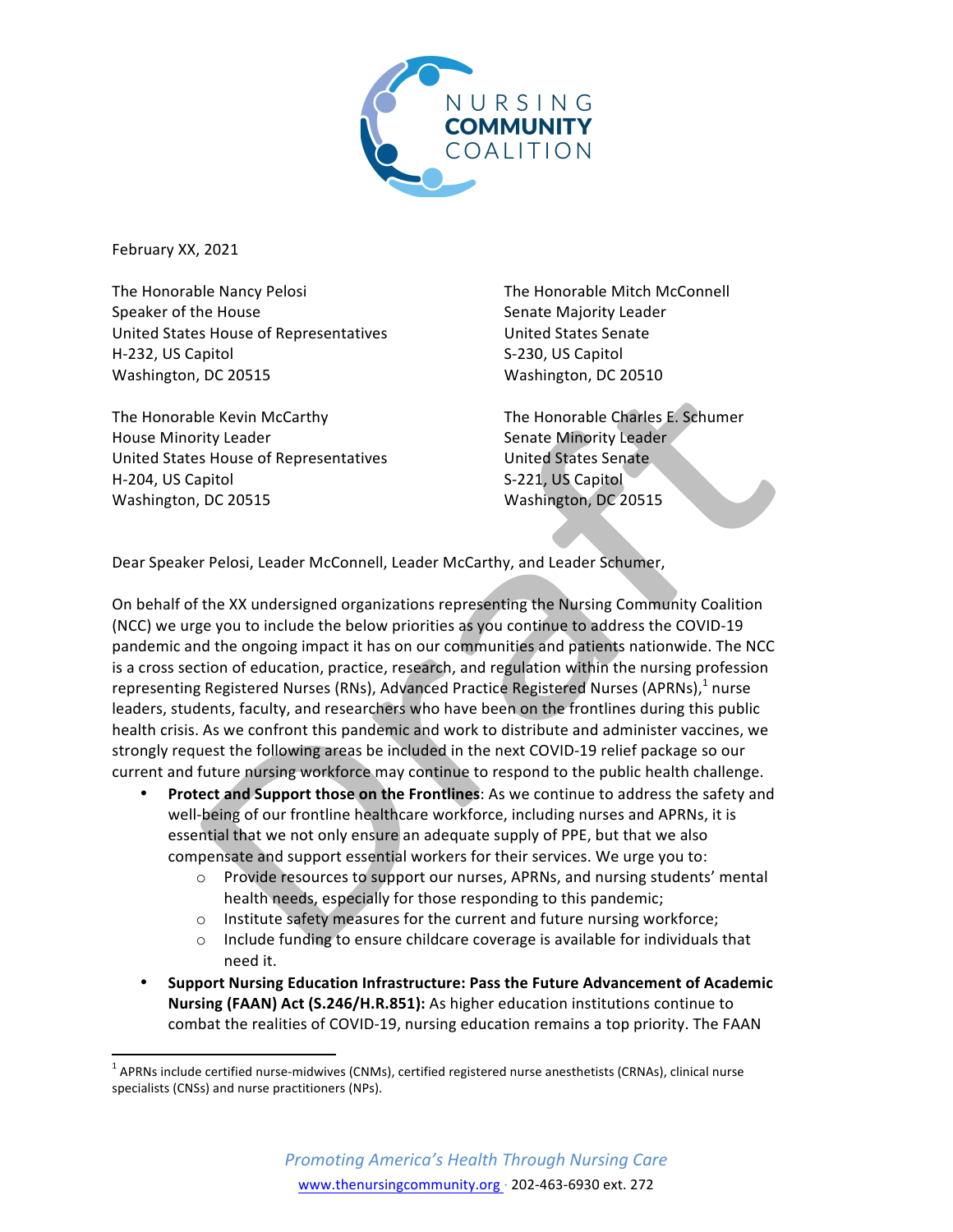

February XX, 2021

The Honorable Nancy Pelosi Speaker of the House United States House of Representatives H-232, US Capitol Washington, DC 20515

The Honorable Kevin McCarthy House Minority Leader United States House of Representatives H-204, US Capitol Washington, DC 20515

The Honorable Mitch McConnell Senate Majority Leader United States Senate S-230, US Capitol Washington, DC 20510

The Honorable Charles E. Schumer Senate Minority Leader United States Senate. S-221, US Capitol Washington, DC 20515

Dear Speaker Pelosi, Leader McConnell, Leader McCarthy, and Leader Schumer,

On behalf of the XX undersigned organizations representing the Nursing Community Coalition (NCC) we urge you to include the below priorities as you continue to address the COVID-19 pandemic and the ongoing impact it has on our communities and patients nationwide. The NCC is a cross section of education, practice, research, and regulation within the nursing profession representing Registered Nurses (RNs), Advanced Practice Registered Nurses (APRNs),<sup>1</sup> nurse leaders, students, faculty, and researchers who have been on the frontlines during this public health crisis. As we confront this pandemic and work to distribute and administer vaccines, we strongly request the following areas be included in the next COVID-19 relief package so our current and future nursing workforce may continue to respond to the public health challenge.

- **Protect and Support those on the Frontlines:** As we continue to address the safety and well-being of our frontline healthcare workforce, including nurses and APRNs, it is essential that we not only ensure an adequate supply of PPE, but that we also compensate and support essential workers for their services. We urge you to:
	- $\circ$  Provide resources to support our nurses, APRNs, and nursing students' mental health needs, especially for those responding to this pandemic;
	- $\circ$  Institute safety measures for the current and future nursing workforce;
	- $\circ$  Include funding to ensure childcare coverage is available for individuals that need it.
- Support Nursing Education Infrastructure: Pass the Future Advancement of Academic **Nursing (FAAN) Act (S.246/H.R.851):** As higher education institutions continue to combat the realities of COVID-19, nursing education remains a top priority. The FAAN

 $1$  APRNs include certified nurse-midwives (CNMs), certified registered nurse anesthetists (CRNAs), clinical nurse specialists (CNSs) and nurse practitioners (NPs).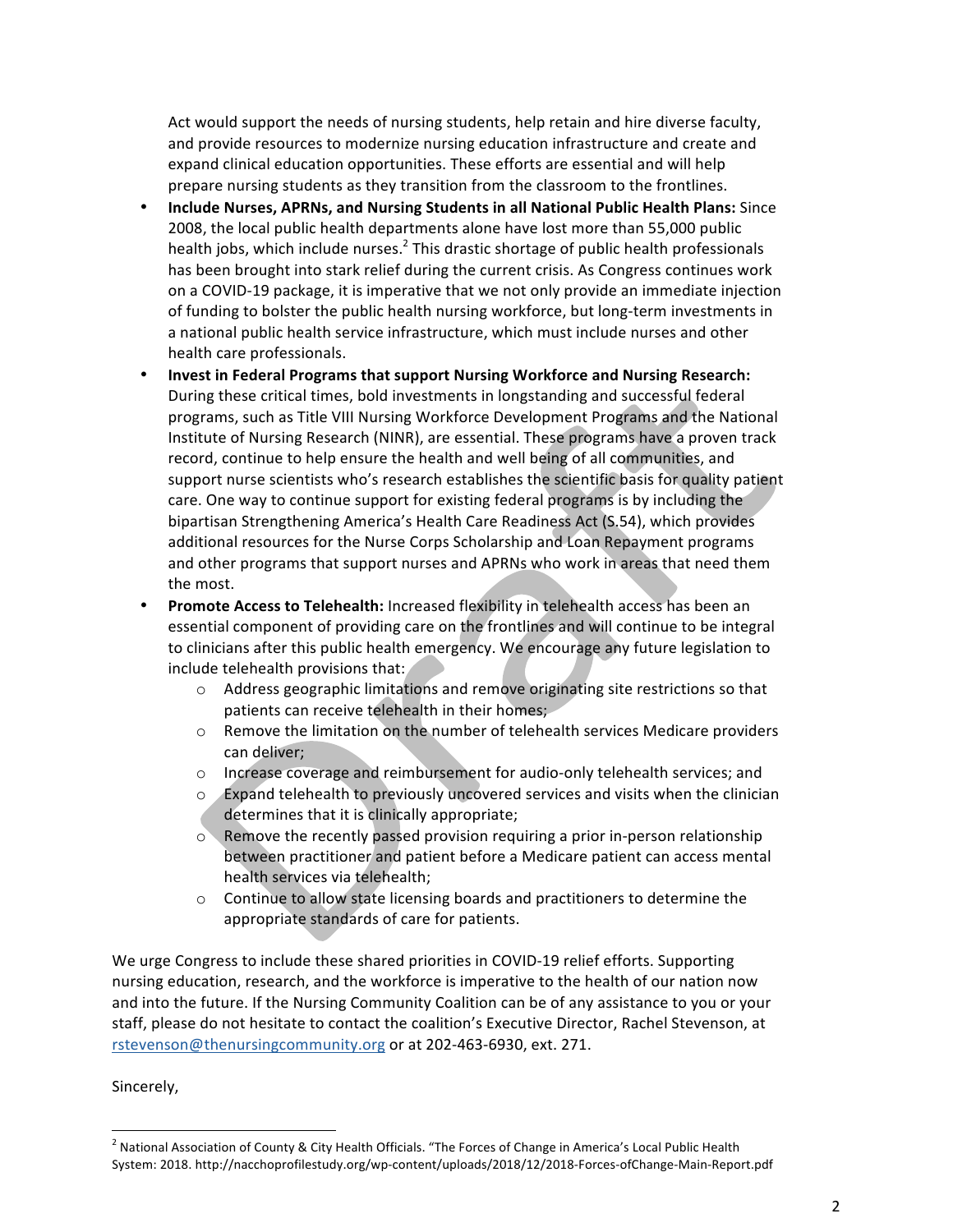Act would support the needs of nursing students, help retain and hire diverse faculty, and provide resources to modernize nursing education infrastructure and create and expand clinical education opportunities. These efforts are essential and will help prepare nursing students as they transition from the classroom to the frontlines.

- **Include Nurses, APRNs, and Nursing Students in all National Public Health Plans:** Since 2008, the local public health departments alone have lost more than 55,000 public health jobs, which include nurses.<sup>2</sup> This drastic shortage of public health professionals has been brought into stark relief during the current crisis. As Congress continues work on a COVID-19 package, it is imperative that we not only provide an immediate injection of funding to bolster the public health nursing workforce, but long-term investments in a national public health service infrastructure, which must include nurses and other health care professionals.
- **Invest in Federal Programs that support Nursing Workforce and Nursing Research:** During these critical times, bold investments in longstanding and successful federal programs, such as Title VIII Nursing Workforce Development Programs and the National Institute of Nursing Research (NINR), are essential. These programs have a proven track record, continue to help ensure the health and well being of all communities, and support nurse scientists who's research establishes the scientific basis for quality patient care. One way to continue support for existing federal programs is by including the bipartisan Strengthening America's Health Care Readiness Act (S.54), which provides additional resources for the Nurse Corps Scholarship and Loan Repayment programs and other programs that support nurses and APRNs who work in areas that need them the most.
- Promote Access to Telehealth: Increased flexibility in telehealth access has been an essential component of providing care on the frontlines and will continue to be integral to clinicians after this public health emergency. We encourage any future legislation to include telehealth provisions that:
	- $\circ$  Address geographic limitations and remove originating site restrictions so that patients can receive telehealth in their homes;
	- $\circ$  Remove the limitation on the number of telehealth services Medicare providers can deliver;
	- $\circ$  Increase coverage and reimbursement for audio-only telehealth services; and
	- $\circ$  Expand telehealth to previously uncovered services and visits when the clinician determines that it is clinically appropriate;
	- $\circ$  Remove the recently passed provision requiring a prior in-person relationship between practitioner and patient before a Medicare patient can access mental health services via telehealth;
	- $\circ$  Continue to allow state licensing boards and practitioners to determine the appropriate standards of care for patients.

We urge Congress to include these shared priorities in COVID-19 relief efforts. Supporting nursing education, research, and the workforce is imperative to the health of our nation now and into the future. If the Nursing Community Coalition can be of any assistance to you or your staff, please do not hesitate to contact the coalition's Executive Director, Rachel Stevenson, at rstevenson@thenursingcommunity.org or at 202-463-6930, ext. 271.

## Sincerely,

 $2$  National Association of County & City Health Officials. "The Forces of Change in America's Local Public Health System: 2018. http://nacchoprofilestudy.org/wp-content/uploads/2018/12/2018-Forces-ofChange-Main-Report.pdf